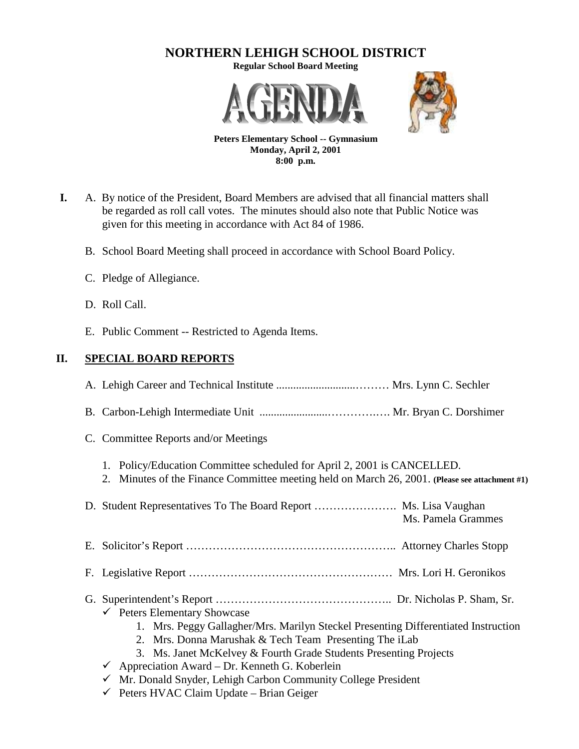# **NORTHERN LEHIGH SCHOOL DISTRICT**

**Regular School Board Meeting**





**Peters Elementary School -- Gymnasium Monday, April 2, 2001 8:00 p.m.**

- **I.** A. By notice of the President, Board Members are advised that all financial matters shall be regarded as roll call votes. The minutes should also note that Public Notice was given for this meeting in accordance with Act 84 of 1986.
	- B. School Board Meeting shall proceed in accordance with School Board Policy.
	- C. Pledge of Allegiance.
	- D. Roll Call.
	- E. Public Comment -- Restricted to Agenda Items.

### **II. SPECIAL BOARD REPORTS**

| C. Committee Reports and/or Meetings                                                                                                                                                                                                                                                                                                                                                                    |
|---------------------------------------------------------------------------------------------------------------------------------------------------------------------------------------------------------------------------------------------------------------------------------------------------------------------------------------------------------------------------------------------------------|
| Policy/Education Committee scheduled for April 2, 2001 is CANCELLED.<br>1.<br>2. Minutes of the Finance Committee meeting held on March 26, 2001. (Please see attachment #1)                                                                                                                                                                                                                            |
| D. Student Representatives To The Board Report  Ms. Lisa Vaughan<br>Ms. Pamela Grammes                                                                                                                                                                                                                                                                                                                  |
|                                                                                                                                                                                                                                                                                                                                                                                                         |
|                                                                                                                                                                                                                                                                                                                                                                                                         |
| $\checkmark$ Peters Elementary Showcase<br>1. Mrs. Peggy Gallagher/Mrs. Marilyn Steckel Presenting Differentiated Instruction<br>2. Mrs. Donna Marushak & Tech Team Presenting The iLab<br>3. Ms. Janet McKelvey & Fourth Grade Students Presenting Projects<br>$\checkmark$ Appreciation Award – Dr. Kenneth G. Koberlein<br>$\checkmark$ Mr. Donald Snyder, Lehigh Carbon Community College President |
|                                                                                                                                                                                                                                                                                                                                                                                                         |

 $\checkmark$  Peters HVAC Claim Update – Brian Geiger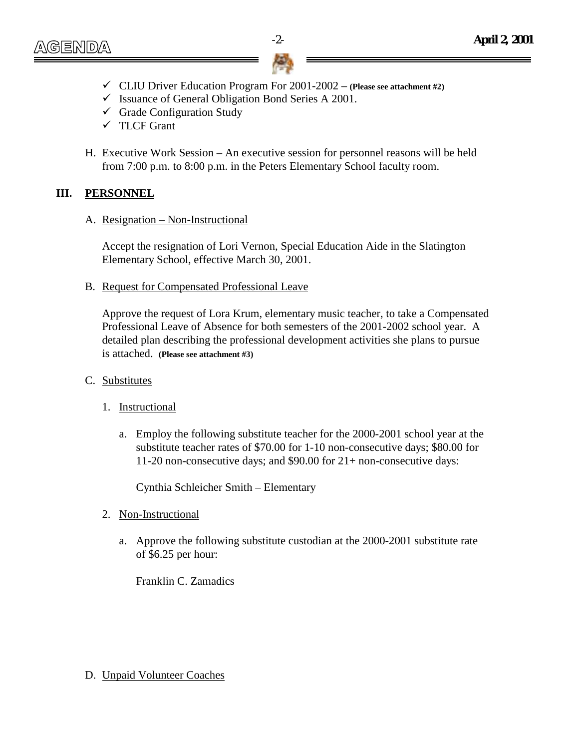- $\checkmark$  CLIU Driver Education Program For 2001-2002 (Please see attachment #2)
- $\checkmark$  Issuance of General Obligation Bond Series A 2001.
- $\checkmark$  Grade Configuration Study
- ! TLCF Grant
- H. Executive Work Session An executive session for personnel reasons will be held from 7:00 p.m. to 8:00 p.m. in the Peters Elementary School faculty room.

#### **III. PERSONNEL**

A. Resignation – Non-Instructional

Accept the resignation of Lori Vernon, Special Education Aide in the Slatington Elementary School, effective March 30, 2001.

B. Request for Compensated Professional Leave

Approve the request of Lora Krum, elementary music teacher, to take a Compensated Professional Leave of Absence for both semesters of the 2001-2002 school year. A detailed plan describing the professional development activities she plans to pursue is attached. **(Please see attachment #3)**

- C. Substitutes
	- 1. Instructional
		- a. Employ the following substitute teacher for the 2000-2001 school year at the substitute teacher rates of \$70.00 for 1-10 non-consecutive days; \$80.00 for 11-20 non-consecutive days; and \$90.00 for 21+ non-consecutive days:

Cynthia Schleicher Smith – Elementary

- 2. Non-Instructional
	- a. Approve the following substitute custodian at the 2000-2001 substitute rate of \$6.25 per hour:

Franklin C. Zamadics

#### D. Unpaid Volunteer Coaches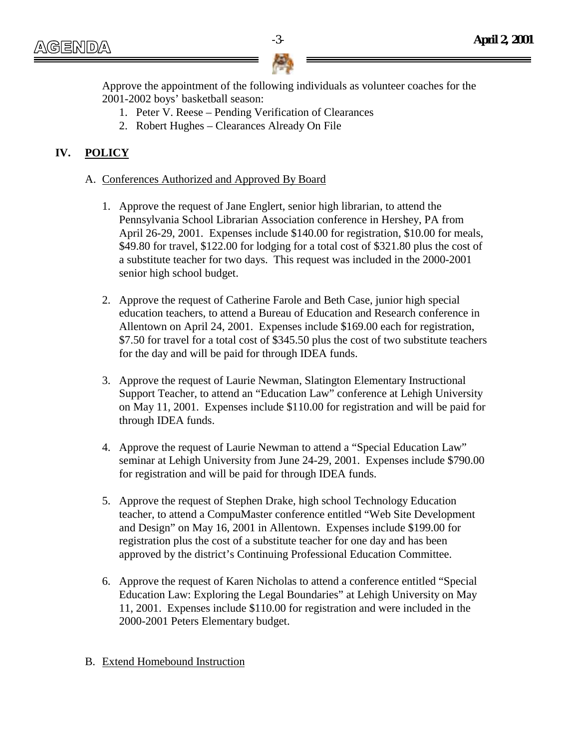Approve the appointment of the following individuals as volunteer coaches for the 2001-2002 boys' basketball season:

- 1. Peter V. Reese Pending Verification of Clearances
- 2. Robert Hughes Clearances Already On File

## **IV. POLICY**

- A. Conferences Authorized and Approved By Board
	- 1. Approve the request of Jane Englert, senior high librarian, to attend the Pennsylvania School Librarian Association conference in Hershey, PA from April 26-29, 2001. Expenses include \$140.00 for registration, \$10.00 for meals, \$49.80 for travel, \$122.00 for lodging for a total cost of \$321.80 plus the cost of a substitute teacher for two days. This request was included in the 2000-2001 senior high school budget.
	- 2. Approve the request of Catherine Farole and Beth Case, junior high special education teachers, to attend a Bureau of Education and Research conference in Allentown on April 24, 2001. Expenses include \$169.00 each for registration, \$7.50 for travel for a total cost of \$345.50 plus the cost of two substitute teachers for the day and will be paid for through IDEA funds.
	- 3. Approve the request of Laurie Newman, Slatington Elementary Instructional Support Teacher, to attend an "Education Law" conference at Lehigh University on May 11, 2001. Expenses include \$110.00 for registration and will be paid for through IDEA funds.
	- 4. Approve the request of Laurie Newman to attend a "Special Education Law" seminar at Lehigh University from June 24-29, 2001. Expenses include \$790.00 for registration and will be paid for through IDEA funds.
	- 5. Approve the request of Stephen Drake, high school Technology Education teacher, to attend a CompuMaster conference entitled "Web Site Development and Design" on May 16, 2001 in Allentown. Expenses include \$199.00 for registration plus the cost of a substitute teacher for one day and has been approved by the district's Continuing Professional Education Committee.
	- 6. Approve the request of Karen Nicholas to attend a conference entitled "Special Education Law: Exploring the Legal Boundaries" at Lehigh University on May 11, 2001. Expenses include \$110.00 for registration and were included in the 2000-2001 Peters Elementary budget.

#### B. Extend Homebound Instruction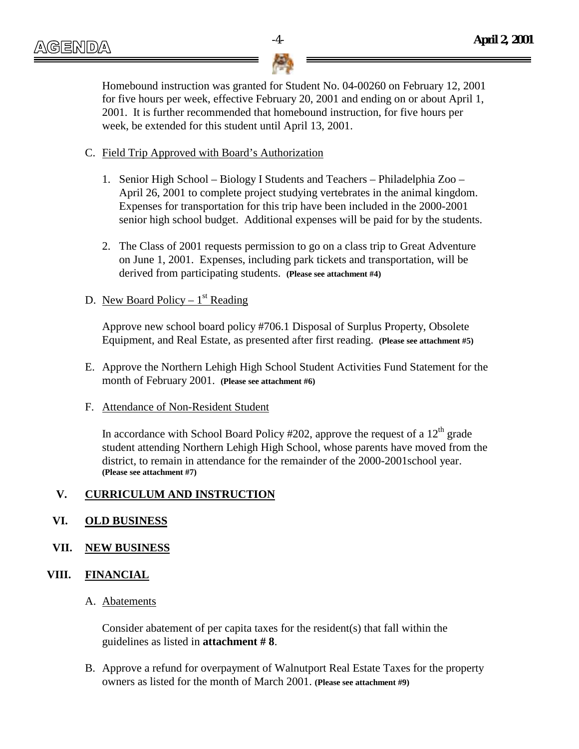

Homebound instruction was granted for Student No. 04-00260 on February 12, 2001 for five hours per week, effective February 20, 2001 and ending on or about April 1, 2001. It is further recommended that homebound instruction, for five hours per week, be extended for this student until April 13, 2001.

#### C. Field Trip Approved with Board's Authorization

- 1. Senior High School Biology I Students and Teachers Philadelphia Zoo April 26, 2001 to complete project studying vertebrates in the animal kingdom. Expenses for transportation for this trip have been included in the 2000-2001 senior high school budget. Additional expenses will be paid for by the students.
- 2. The Class of 2001 requests permission to go on a class trip to Great Adventure on June 1, 2001. Expenses, including park tickets and transportation, will be derived from participating students. **(Please see attachment #4)**

#### D. New Board Policy –  $1<sup>st</sup>$  Reading

Approve new school board policy #706.1 Disposal of Surplus Property, Obsolete Equipment, and Real Estate, as presented after first reading. **(Please see attachment #5)**

E. Approve the Northern Lehigh High School Student Activities Fund Statement for the month of February 2001. **(Please see attachment #6)**

#### F. Attendance of Non-Resident Student

In accordance with School Board Policy #202, approve the request of a  $12<sup>th</sup>$  grade student attending Northern Lehigh High School, whose parents have moved from the district, to remain in attendance for the remainder of the 2000-2001school year. **(Please see attachment #7)**

#### **V. CURRICULUM AND INSTRUCTION**

#### **VI. OLD BUSINESS**

#### **VII. NEW BUSINESS**

#### **VIII. FINANCIAL**

#### A. Abatements

Consider abatement of per capita taxes for the resident(s) that fall within the guidelines as listed in **attachment # 8**.

B. Approve a refund for overpayment of Walnutport Real Estate Taxes for the property owners as listed for the month of March 2001. **(Please see attachment #9)**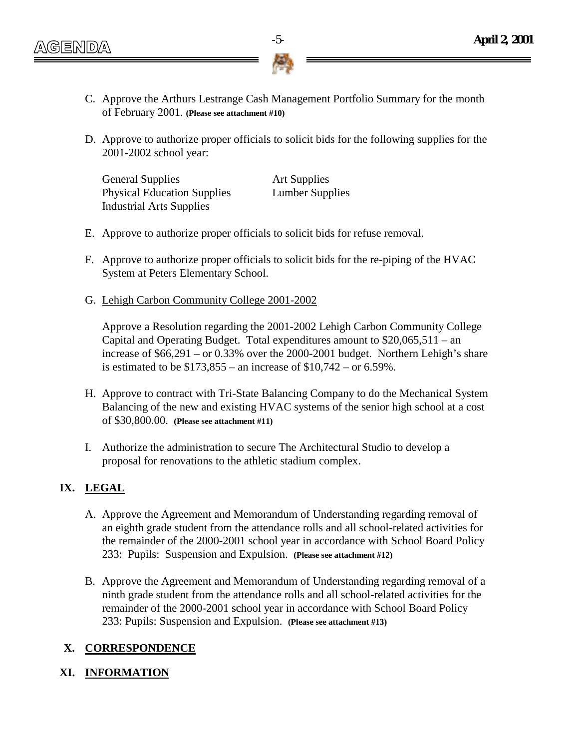- C. Approve the Arthurs Lestrange Cash Management Portfolio Summary for the month of February 2001. **(Please see attachment #10)**
- D. Approve to authorize proper officials to solicit bids for the following supplies for the 2001-2002 school year:

General Supplies **Art Supplies** Physical Education Supplies Lumber Supplies Industrial Arts Supplies

- E. Approve to authorize proper officials to solicit bids for refuse removal.
- F. Approve to authorize proper officials to solicit bids for the re-piping of the HVAC System at Peters Elementary School.
- G. Lehigh Carbon Community College 2001-2002

Approve a Resolution regarding the 2001-2002 Lehigh Carbon Community College Capital and Operating Budget. Total expenditures amount to \$20,065,511 – an increase of \$66,291 – or 0.33% over the 2000-2001 budget. Northern Lehigh's share is estimated to be \$173,855 – an increase of \$10,742 – or 6.59%.

- H. Approve to contract with Tri-State Balancing Company to do the Mechanical System Balancing of the new and existing HVAC systems of the senior high school at a cost of \$30,800.00. **(Please see attachment #11)**
- I. Authorize the administration to secure The Architectural Studio to develop a proposal for renovations to the athletic stadium complex.

## **IX. LEGAL**

- A. Approve the Agreement and Memorandum of Understanding regarding removal of an eighth grade student from the attendance rolls and all school-related activities for the remainder of the 2000-2001 school year in accordance with School Board Policy 233: Pupils: Suspension and Expulsion. **(Please see attachment #12)**
- B. Approve the Agreement and Memorandum of Understanding regarding removal of a ninth grade student from the attendance rolls and all school-related activities for the remainder of the 2000-2001 school year in accordance with School Board Policy 233: Pupils: Suspension and Expulsion. **(Please see attachment #13)**

## **X. CORRESPONDENCE**

#### **XI. INFORMATION**